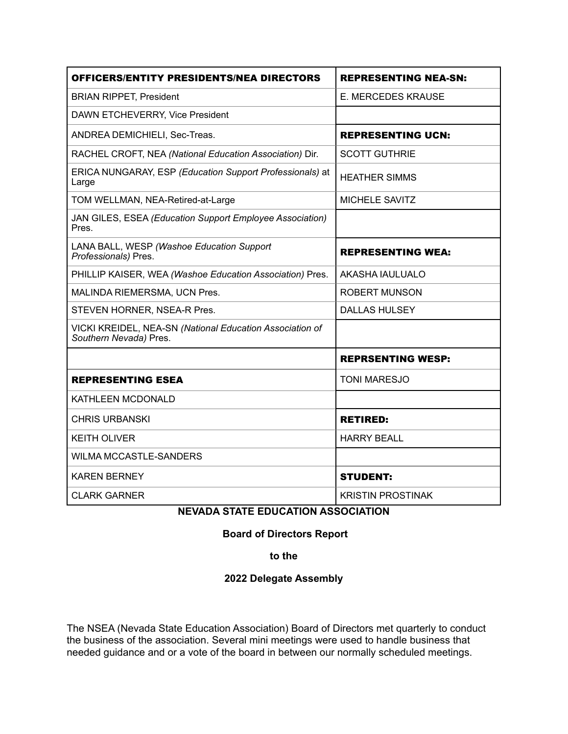| <b>OFFICERS/ENTITY PRESIDENTS/NEA DIRECTORS</b>                                    | <b>REPRESENTING NEA-SN:</b> |
|------------------------------------------------------------------------------------|-----------------------------|
| <b>BRIAN RIPPET, President</b>                                                     | E. MERCEDES KRAUSE          |
| DAWN ETCHEVERRY, Vice President                                                    |                             |
| ANDREA DEMICHIELI, Sec-Treas.                                                      | <b>REPRESENTING UCN:</b>    |
| RACHEL CROFT, NEA (National Education Association) Dir.                            | <b>SCOTT GUTHRIE</b>        |
| ERICA NUNGARAY, ESP (Education Support Professionals) at<br>Large                  | <b>HEATHER SIMMS</b>        |
| TOM WELLMAN, NEA-Retired-at-Large                                                  | MICHELE SAVITZ              |
| JAN GILES, ESEA (Education Support Employee Association)<br>Pres.                  |                             |
| LANA BALL, WESP (Washoe Education Support<br>Professionals) Pres.                  | <b>REPRESENTING WEA:</b>    |
| PHILLIP KAISER, WEA (Washoe Education Association) Pres.                           | AKASHA IAULUALO             |
| MALINDA RIEMERSMA, UCN Pres.                                                       | <b>ROBERT MUNSON</b>        |
| STEVEN HORNER, NSEA-R Pres.                                                        | <b>DALLAS HULSEY</b>        |
| VICKI KREIDEL, NEA-SN (National Education Association of<br>Southern Nevada) Pres. |                             |
|                                                                                    | <b>REPRSENTING WESP:</b>    |
| <b>REPRESENTING ESEA</b>                                                           | <b>TONI MARESJO</b>         |
| KATHLEEN MCDONALD                                                                  |                             |
| <b>CHRIS URBANSKI</b>                                                              | <b>RETIRED:</b>             |
| <b>KEITH OLIVER</b>                                                                | <b>HARRY BEALL</b>          |
| <b>WILMA MCCASTLE-SANDERS</b>                                                      |                             |
| <b>KAREN BERNEY</b>                                                                | <b>STUDENT:</b>             |
| <b>CLARK GARNER</b>                                                                | <b>KRISTIN PROSTINAK</b>    |

## **NEVADA STATE EDUCATION ASSOCIATION**

## **Board of Directors Report**

**to the** 

## **2022 Delegate Assembly**

The NSEA (Nevada State Education Association) Board of Directors met quarterly to conduct the business of the association. Several mini meetings were used to handle business that needed guidance and or a vote of the board in between our normally scheduled meetings.